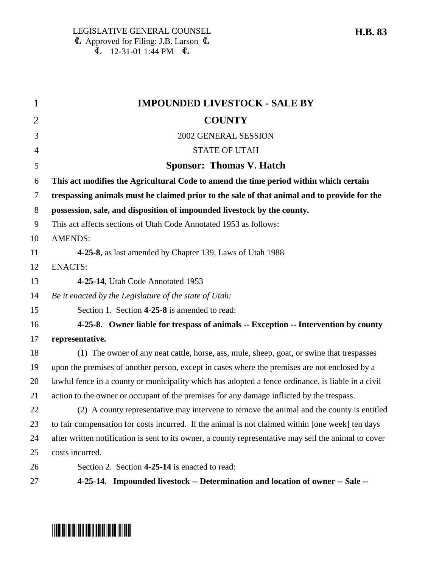| $\mathbf{1}$   | <b>IMPOUNDED LIVESTOCK - SALE BY</b>                                                                  |
|----------------|-------------------------------------------------------------------------------------------------------|
| 2              | <b>COUNTY</b>                                                                                         |
| 3              | 2002 GENERAL SESSION                                                                                  |
| $\overline{4}$ | <b>STATE OF UTAH</b>                                                                                  |
| 5              | <b>Sponsor: Thomas V. Hatch</b>                                                                       |
| 6              | This act modifies the Agricultural Code to amend the time period within which certain                 |
| $\overline{7}$ | trespassing animals must be claimed prior to the sale of that animal and to provide for the           |
| 8              | possession, sale, and disposition of impounded livestock by the county.                               |
| 9              | This act affects sections of Utah Code Annotated 1953 as follows:                                     |
| 10             | <b>AMENDS:</b>                                                                                        |
| 11             | 4-25-8, as last amended by Chapter 139, Laws of Utah 1988                                             |
| 12             | <b>ENACTS:</b>                                                                                        |
| 13             | 4-25-14, Utah Code Annotated 1953                                                                     |
| 14             | Be it enacted by the Legislature of the state of Utah:                                                |
| 15             | Section 1. Section 4-25-8 is amended to read:                                                         |
| 16             | 4-25-8. Owner liable for trespass of animals -- Exception -- Intervention by county                   |
| 17             | representative.                                                                                       |
| 18             | (1) The owner of any neat cattle, horse, ass, mule, sheep, goat, or swine that trespasses             |
| 19             | upon the premises of another person, except in cases where the premises are not enclosed by a         |
| 20             | lawful fence in a county or municipality which has adopted a fence ordinance, is liable in a civil    |
| 21             | action to the owner or occupant of the premises for any damage inflicted by the trespass.             |
| 22             | (2) A county representative may intervene to remove the animal and the county is entitled             |
| 23             | to fair compensation for costs incurred. If the animal is not claimed within [one week] ten days      |
| 24             | after written notification is sent to its owner, a county representative may sell the animal to cover |
| 25             | costs incurred.                                                                                       |
| 26             | Section 2. Section 4-25-14 is enacted to read:                                                        |
| 27             | 4-25-14. Impounded livestock -- Determination and location of owner -- Sale --                        |



## \*HB0083\*